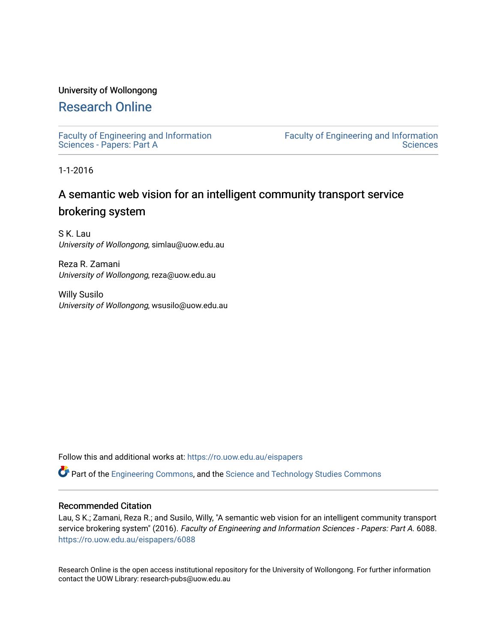## University of Wollongong

# [Research Online](https://ro.uow.edu.au/)

[Faculty of Engineering and Information](https://ro.uow.edu.au/eispapers)  [Sciences - Papers: Part A](https://ro.uow.edu.au/eispapers) 

[Faculty of Engineering and Information](https://ro.uow.edu.au/eis)  **Sciences** 

1-1-2016

# A semantic web vision for an intelligent community transport service brokering system

S K. Lau University of Wollongong, simlau@uow.edu.au

Reza R. Zamani University of Wollongong, reza@uow.edu.au

Willy Susilo University of Wollongong, wsusilo@uow.edu.au

Follow this and additional works at: [https://ro.uow.edu.au/eispapers](https://ro.uow.edu.au/eispapers?utm_source=ro.uow.edu.au%2Feispapers%2F6088&utm_medium=PDF&utm_campaign=PDFCoverPages)

Part of the [Engineering Commons](http://network.bepress.com/hgg/discipline/217?utm_source=ro.uow.edu.au%2Feispapers%2F6088&utm_medium=PDF&utm_campaign=PDFCoverPages), and the [Science and Technology Studies Commons](http://network.bepress.com/hgg/discipline/435?utm_source=ro.uow.edu.au%2Feispapers%2F6088&utm_medium=PDF&utm_campaign=PDFCoverPages)

## Recommended Citation

Lau, S K.; Zamani, Reza R.; and Susilo, Willy, "A semantic web vision for an intelligent community transport service brokering system" (2016). Faculty of Engineering and Information Sciences - Papers: Part A. 6088. [https://ro.uow.edu.au/eispapers/6088](https://ro.uow.edu.au/eispapers/6088?utm_source=ro.uow.edu.au%2Feispapers%2F6088&utm_medium=PDF&utm_campaign=PDFCoverPages) 

Research Online is the open access institutional repository for the University of Wollongong. For further information contact the UOW Library: research-pubs@uow.edu.au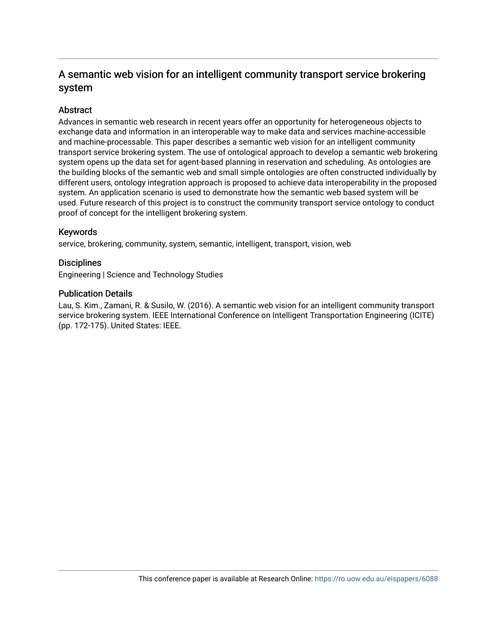# A semantic web vision for an intelligent community transport service brokering system

## **Abstract**

Advances in semantic web research in recent years offer an opportunity for heterogeneous objects to exchange data and information in an interoperable way to make data and services machine-accessible and machine-processable. This paper describes a semantic web vision for an intelligent community transport service brokering system. The use of ontological approach to develop a semantic web brokering system opens up the data set for agent-based planning in reservation and scheduling. As ontologies are the building blocks of the semantic web and small simple ontologies are often constructed individually by different users, ontology integration approach is proposed to achieve data interoperability in the proposed system. An application scenario is used to demonstrate how the semantic web based system will be used. Future research of this project is to construct the community transport service ontology to conduct proof of concept for the intelligent brokering system.

## Keywords

service, brokering, community, system, semantic, intelligent, transport, vision, web

## **Disciplines**

Engineering | Science and Technology Studies

## Publication Details

Lau, S. Kim., Zamani, R. & Susilo, W. (2016). A semantic web vision for an intelligent community transport service brokering system. IEEE International Conference on Intelligent Transportation Engineering (ICITE) (pp. 172-175). United States: IEEE.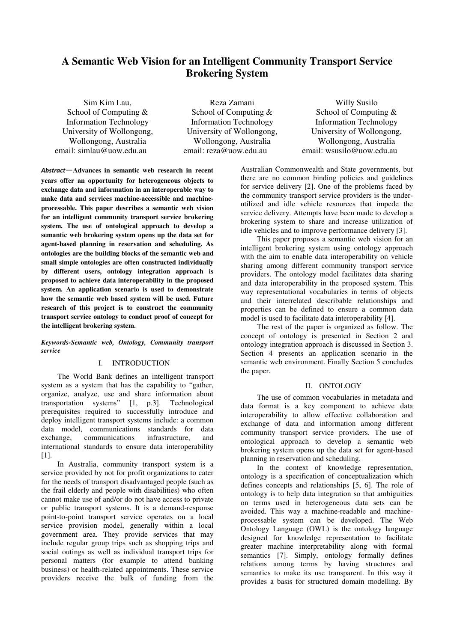# **A Semantic Web Vision for an Intelligent Community Transport Service Brokering System**

Sim Kim Lau, School of Computing & Information Technology University of Wollongong, Wollongong, Australia email: simlau@uow.edu.au

Reza Zamani School of Computing & Information Technology University of Wollongong, Wollongong, Australia email: reza@uow.edu.au

Willy Susilo School of Computing & Information Technology University of Wollongong, Wollongong, Australia email: wsusilo@uow.edu.au

Abstract—**Advances in semantic web research in recent years offer an opportunity for heterogeneous objects to exchange data and information in an interoperable way to make data and services machine-accessible and machineprocessable. This paper describes a semantic web vision for an intelligent community transport service brokering system. The use of ontological approach to develop a semantic web brokering system opens up the data set for agent-based planning in reservation and scheduling. As ontologies are the building blocks of the semantic web and small simple ontologies are often constructed individually by different users, ontology integration approach is proposed to achieve data interoperability in the proposed system. An application scenario is used to demonstrate how the semantic web based system will be used. Future research of this project is to construct the community transport service ontology to conduct proof of concept for the intelligent brokering system.**

*Keywords-Semantic web, Ontology, Community transport service* 

### I. INTRODUCTION

The World Bank defines an intelligent transport system as a system that has the capability to "gather, organize, analyze, use and share information about transportation systems" [1, p.3]. Technological prerequisites required to successfully introduce and deploy intelligent transport systems include: a common data model, communications standards for data exchange, communications infrastructure, and exchange, communications infrastructure, and international standards to ensure data interoperability [1].

In Australia, community transport system is a service provided by not for profit organizations to cater for the needs of transport disadvantaged people (such as the frail elderly and people with disabilities) who often cannot make use of and/or do not have access to private or public transport systems. It is a demand-response point-to-point transport service operates on a local service provision model, generally within a local government area. They provide services that may include regular group trips such as shopping trips and social outings as well as individual transport trips for personal matters (for example to attend banking business) or health-related appointments. These service providers receive the bulk of funding from the

Australian Commonwealth and State governments, but there are no common binding policies and guidelines for service delivery [2]. One of the problems faced by the community transport service providers is the underutilized and idle vehicle resources that impede the service delivery. Attempts have been made to develop a brokering system to share and increase utilization of idle vehicles and to improve performance delivery [3].

This paper proposes a semantic web vision for an intelligent brokering system using ontology approach with the aim to enable data interoperability on vehicle sharing among different community transport service providers. The ontology model facilitates data sharing and data interoperability in the proposed system. This way representational vocabularies in terms of objects and their interrelated describable relationships and properties can be defined to ensure a common data model is used to facilitate data interoperability [4].

The rest of the paper is organized as follow. The concept of ontology is presented in Section 2 and ontology integration approach is discussed in Section 3. Section 4 presents an application scenario in the semantic web environment. Finally Section 5 concludes the paper.

### II. ONTOLOGY

The use of common vocabularies in metadata and data format is a key component to achieve data interoperability to allow effective collaboration and exchange of data and information among different community transport service providers. The use of ontological approach to develop a semantic web brokering system opens up the data set for agent-based planning in reservation and scheduling.

In the context of knowledge representation, ontology is a specification of conceptualization which defines concepts and relationships [5, 6]. The role of ontology is to help data integration so that ambiguities on terms used in heterogeneous data sets can be avoided. This way a machine-readable and machineprocessable system can be developed. The Web Ontology Language (OWL) is the ontology language designed for knowledge representation to facilitate greater machine interpretability along with formal semantics [7]. Simply, ontology formally defines relations among terms by having structures and semantics to make its use transparent. In this way it provides a basis for structured domain modelling. By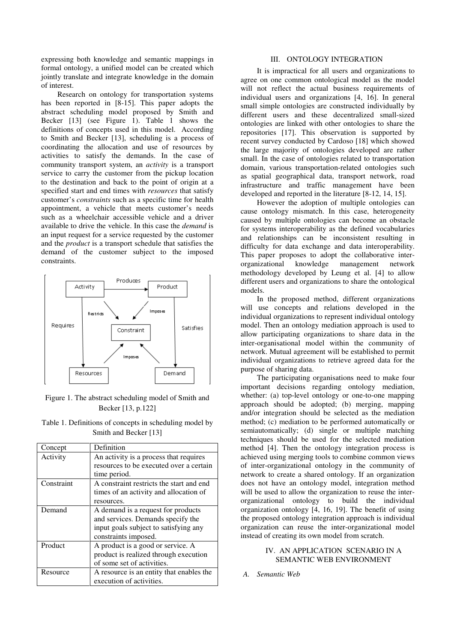expressing both knowledge and semantic mappings in formal ontology, a unified model can be created which jointly translate and integrate knowledge in the domain of interest.

Research on ontology for transportation systems has been reported in [8-15]. This paper adopts the abstract scheduling model proposed by Smith and Becker [13] (see Figure 1). Table 1 shows the definitions of concepts used in this model. According to Smith and Becker [13], scheduling is a process of coordinating the allocation and use of resources by activities to satisfy the demands. In the case of community transport system, an *activity* is a transport service to carry the customer from the pickup location to the destination and back to the point of origin at a specified start and end times with *resources* that satisfy customer's *constraints* such as a specific time for health appointment, a vehicle that meets customer's needs such as a wheelchair accessible vehicle and a driver available to drive the vehicle. In this case the *demand* is an input request for a service requested by the customer and the *product* is a transport schedule that satisfies the demand of the customer subject to the imposed constraints.



Figure 1. The abstract scheduling model of Smith and Becker [13, p.122]

| Concept    | Definition                               |
|------------|------------------------------------------|
| Activity   | An activity is a process that requires   |
|            | resources to be executed over a certain  |
|            | time period.                             |
| Constraint | A constraint restricts the start and end |
|            | times of an activity and allocation of   |
|            | resources.                               |
| Demand     | A demand is a request for products       |
|            | and services. Demands specify the        |
|            | input goals subject to satisfying any    |
|            | constraints imposed.                     |
| Product    | A product is a good or service. A        |
|            | product is realized through execution    |
|            | of some set of activities.               |
| Resource   | A resource is an entity that enables the |
|            | execution of activities.                 |

Table 1. Definitions of concepts in scheduling model by Smith and Becker [13]

### III. ONTOLOGY INTEGRATION

It is impractical for all users and organizations to agree on one common ontological model as the model will not reflect the actual business requirements of individual users and organizations [4, 16]. In general small simple ontologies are constructed individually by different users and these decentralized small-sized ontologies are linked with other ontologies to share the repositories [17]. This observation is supported by recent survey conducted by Cardoso [18] which showed the large majority of ontologies developed are rather small. In the case of ontologies related to transportation domain, various transportation-related ontologies such as spatial geographical data, transport network, road infrastructure and traffic management have been developed and reported in the literature [8-12, 14, 15].

However the adoption of multiple ontologies can cause ontology mismatch. In this case, heterogeneity caused by multiple ontologies can become an obstacle for systems interoperability as the defined vocabularies and relationships can be inconsistent resulting in difficulty for data exchange and data interoperability. This paper proposes to adopt the collaborative interorganizational knowledge management network methodology developed by Leung et al. [4] to allow different users and organizations to share the ontological models.

In the proposed method, different organizations will use concepts and relations developed in the individual organizations to represent individual ontology model. Then an ontology mediation approach is used to allow participating organizations to share data in the inter-organisational model within the community of network. Mutual agreement will be established to permit individual organizations to retrieve agreed data for the purpose of sharing data.

The participating organisations need to make four important decisions regarding ontology mediation, whether: (a) top-level ontology or one-to-one mapping approach should be adopted; (b) merging, mapping and/or integration should be selected as the mediation method; (c) mediation to be performed automatically or semiautomatically; (d) single or multiple matching techniques should be used for the selected mediation method [4]. Then the ontology integration process is achieved using merging tools to combine common views of inter-organizational ontology in the community of network to create a shared ontology. If an organization does not have an ontology model, integration method will be used to allow the organization to reuse the interorganizational ontology to build the individual organization ontology [4, 16, 19]. The benefit of using the proposed ontology integration approach is individual organization can reuse the inter-organizational model instead of creating its own model from scratch.

#### IV. AN APPLICATION SCENARIO IN A SEMANTIC WEB ENVIRONMENT

#### *A. Semantic Web*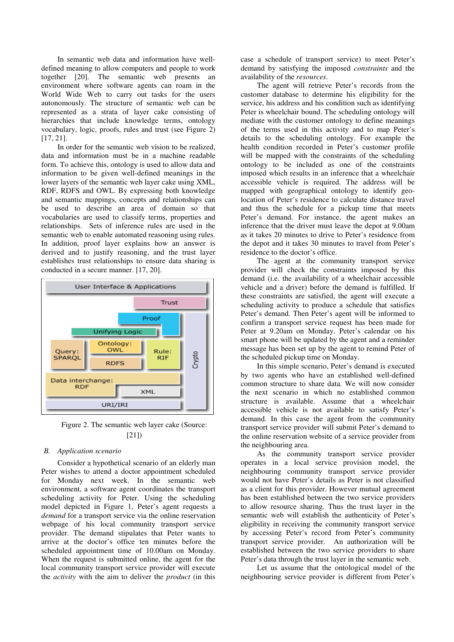In semantic web data and information have welldefined meaning to allow computers and people to work together [20]. The semantic web presents an environment where software agents can roam in the World Wide Web to carry out tasks for the users autonomously. The structure of semantic web can be represented as a strata of layer cake consisting of hierarchies that include knowledge terms, ontology vocabulary, logic, proofs, rules and trust (see Figure 2) [17, 21].

In order for the semantic web vision to be realized, data and information must be in a machine readable form. To achieve this, ontology is used to allow data and information to be given well-defined meanings in the lower layers of the semantic web layer cake using XML, RDF, RDFS and OWL. By expressing both knowledge and semantic mappings, concepts and relationships can be used to describe an area of domain so that vocabularies are used to classify terms, properties and relationships. Sets of inference rules are used in the semantic web to enable automated reasoning using rules. In addition, proof layer explains how an answer is derived and to justify reasoning, and the trust layer establishes trust relationships to ensure data sharing is conducted in a secure manner. [17, 20].



Figure 2. The semantic web layer cake (Source: [21])

#### *B. Application scenario*

Consider a hypothetical scenario of an elderly man Peter wishes to attend a doctor appointment scheduled for Monday next week. In the semantic web environment, a software agent coordinates the transport scheduling activity for Peter. Using the scheduling model depicted in Figure 1, Peter's agent requests a *demand* for a transport service via the online reservation webpage of his local community transport service provider. The demand stipulates that Peter wants to arrive at the doctor's office ten minutes before the scheduled appointment time of 10.00am on Monday. When the request is submitted online, the agent for the local community transport service provider will execute the *activity* with the aim to deliver the *product* (in this case a schedule of transport service) to meet Peter's demand by satisfying the imposed *constraints* and the availability of the *resources*.

The agent will retrieve Peter's records from the customer database to determine his eligibility for the service, his address and his condition such as identifying Peter is wheelchair bound. The scheduling ontology will mediate with the customer ontology to define meanings of the terms used in this activity and to map Peter's details to the scheduling ontology. For example the health condition recorded in Peter's customer profile will be mapped with the constraints of the scheduling ontology to be included as one of the constraints imposed which results in an inference that a wheelchair accessible vehicle is required. The address will be mapped with geographical ontology to identify geolocation of Peter's residence to calculate distance travel and thus the schedule for a pickup time that meets Peter's demand. For instance, the agent makes an inference that the driver must leave the depot at 9.00am as it takes 20 minutes to drive to Peter's residence from the depot and it takes 30 minutes to travel from Peter's residence to the doctor's office.

The agent at the community transport service provider will check the constraints imposed by this demand (i.e. the availability of a wheelchair accessible vehicle and a driver) before the demand is fulfilled. If these constraints are satisfied, the agent will execute a scheduling activity to produce a schedule that satisfies Peter's demand. Then Peter's agent will be informed to confirm a transport service request has been made for Peter at 9.20am on Monday. Peter's calendar on his smart phone will be updated by the agent and a reminder message has been set up by the agent to remind Peter of the scheduled pickup time on Monday.

In this simple scenario, Peter's demand is executed by two agents who have an established well-defined common structure to share data. We will now consider the next scenario in which no established common structure is available. Assume that a wheelchair accessible vehicle is not available to satisfy Peter's demand. In this case the agent from the community transport service provider will submit Peter's demand to the online reservation website of a service provider from the neighbouring area.

As the community transport service provider operates in a local service provision model, the neighbouring community transport service provider would not have Peter's details as Peter is not classified as a client for this provider. However mutual agreement has been established between the two service providers to allow resource sharing. Thus the trust layer in the semantic web will establish the authenticity of Peter's eligibility in receiving the community transport service by accessing Peter's record from Peter's community transport service provider. An authorization will be established between the two service providers to share Peter's data through the trust layer in the semantic web.

Let us assume that the ontological model of the neighbouring service provider is different from Peter's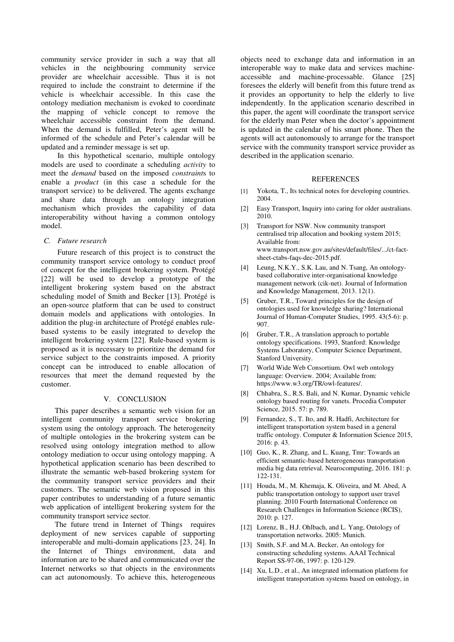community service provider in such a way that all vehicles in the neighbouring community service provider are wheelchair accessible. Thus it is not required to include the constraint to determine if the vehicle is wheelchair accessible. In this case the ontology mediation mechanism is evoked to coordinate the mapping of vehicle concept to remove the wheelchair accessible constraint from the demand. When the demand is fulfilled, Peter's agent will be informed of the schedule and Peter's calendar will be updated and a reminder message is set up.

In this hypothetical scenario, multiple ontology models are used to coordinate a scheduling *activity* to meet the *demand* based on the imposed *constraint*s to enable a *product* (in this case a schedule for the transport service) to be delivered. The agents exchange and share data through an ontology integration mechanism which provides the capability of data interoperability without having a common ontology model.

#### *C. Future research*

Future research of this project is to construct the community transport service ontology to conduct proof of concept for the intelligent brokering system. Protégé [22] will be used to develop a prototype of the intelligent brokering system based on the abstract scheduling model of Smith and Becker [13]. Protégé is an open-source platform that can be used to construct domain models and applications with ontologies. In addition the plug-in architecture of Protégé enables rulebased systems to be easily integrated to develop the intelligent brokering system [22]. Rule-based system is proposed as it is necessary to prioritize the demand for service subject to the constraints imposed. A priority concept can be introduced to enable allocation of resources that meet the demand requested by the customer.

#### V. CONCLUSION

This paper describes a semantic web vision for an intelligent community transport service brokering system using the ontology approach. The heterogeneity of multiple ontologies in the brokering system can be resolved using ontology integration method to allow ontology mediation to occur using ontology mapping. A hypothetical application scenario has been described to illustrate the semantic web-based brokering system for the community transport service providers and their customers. The semantic web vision proposed in this paper contributes to understanding of a future semantic web application of intelligent brokering system for the community transport service sector.

The future trend in Internet of Things requires deployment of new services capable of supporting interoperable and multi-domain applications [23, 24]. In the Internet of Things environment, data and information are to be shared and communicated over the Internet networks so that objects in the environments can act autonomously. To achieve this, heterogeneous

objects need to exchange data and information in an interoperable way to make data and services machineaccessible and machine-processable. Glance [25] foresees the elderly will benefit from this future trend as it provides an opportunity to help the elderly to live independently. In the application scenario described in this paper, the agent will coordinate the transport service for the elderly man Peter when the doctor's appointment is updated in the calendar of his smart phone. Then the agents will act autonomously to arrange for the transport service with the community transport service provider as described in the application scenario.

#### **REFERENCES**

- [1] Yokota, T., Its technical notes for developing countries. 2004.
- [2] Easy Transport, Inquiry into caring for older australians. 2010.
- [3] Transport for NSW. Nsw community transport centralised trip allocation and booking system 2015; Available from: www.transport.nsw.gov.au/sites/default/files/.../ct-factsheet-ctabs-faqs-dec-2015.pdf.
- [4] Leung, N.K.Y., S.K. Lau, and N. Tsang, An ontologybased collaborative inter-organisational knowledge management network (cik-net). Journal of Information and Knowledge Management, 2013. 12(1).
- [5] Gruber, T.R., Toward principles for the design of ontologies used for knowledge sharing? International Journal of Human-Computer Studies, 1995. 43(5-6): p. 907.
- [6] Gruber, T.R., A translation approach to portable ontology specifications. 1993, Stanford: Knowledge Systems Laboratory, Computer Science Department, Stanford University.
- [7] World Wide Web Consortium. Owl web ontology language: Overview. 2004; Available from: https://www.w3.org/TR/owl-features/.
- [8] Chhabra, S., R.S. Bali, and N. Kumar, Dynamic vehicle ontology based routing for vanets. Procedia Computer Science, 2015. 57: p. 789.
- [9] Fernandez, S., T. Ito, and R. Hadfi, Architecture for intelligent transportation system based in a general traffic ontology. Computer & Information Science 2015, 2016: p. 43.
- [10] Guo, K., R. Zhang, and L. Kuang, Tmr: Towards an efficient semantic-based heterogeneous transportation media big data retrieval. Neurocomputing, 2016. 181: p. 122-131.
- [11] Houda, M., M. Khemaja, K. Oliveira, and M. Abed, A public transportation ontology to support user travel planning. 2010 Fourth International Conference on Research Challenges in Information Science (RCIS), 2010: p. 127.
- [12] Lorenz, B., H.J. Ohlbach, and L. Yang, Ontology of transportation networks. 2005: Munich.
- [13] Smith, S.F. and M.A. Becker, An ontology for constructing scheduling systems. AAAI Technical Report SS-97-06, 1997: p. 120-129.
- [14] Xu, L.D., et al., An integrated information platform for intelligent transportation systems based on ontology, in